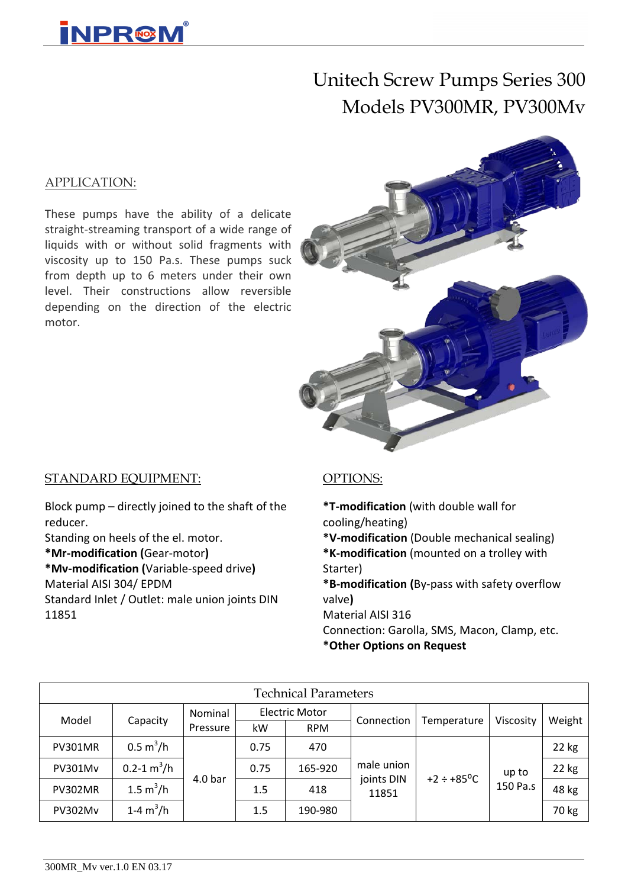

# Unitech Screw Pumps Series 300 Models PV300MR, PV300Mv

#### APPLICATION:

These pumps have the ability of a delicate straight-streaming transport of a wide range of liquids with or without solid fragments with viscosity up to 150 Pa.s. These pumps suck from depth up to 6 meters under their own level. Their constructions allow reversible depending on the direction of the electric motor.



#### STANDARD EQUIPMENT:

Block pump – directly joined to the shaft of the reducer.

Standing on heels of the el. motor. **\*Mr-modification (**Gear-motor**)**

**\*Mv-modification (**Variable-speed drive**)** Material AISI 304/ EPDM Standard Inlet / Outlet: male union joints DIN 11851

#### OPTIONS:

**\*T-modification** (with double wall for cooling/heating)

**\*V-modification** (Double mechanical sealing) **\*K-modification** (mounted on a trolley with Starter)

**\*B-modification (**By-pass with safety overflow valve**)**

Material AISI 316

Connection: Garolla, SMS, Macon, Clamp, etc. **\*Other Options on Request**

| <b>Technical Parameters</b> |                            |                    |      |                       |                     |                              |           |        |  |  |  |  |  |
|-----------------------------|----------------------------|--------------------|------|-----------------------|---------------------|------------------------------|-----------|--------|--|--|--|--|--|
| Model                       | Capacity                   | Nominal            |      | <b>Electric Motor</b> | Connection          | Temperature                  | Viscosity | Weight |  |  |  |  |  |
|                             |                            | Pressure           | kW   | <b>RPM</b>            |                     |                              |           |        |  |  |  |  |  |
| <b>PV301MR</b>              | $0.5 \text{ m}^3/\text{h}$ | 4.0 <sub>bar</sub> | 0.75 | 470                   |                     |                              |           | 22 kg  |  |  |  |  |  |
| <b>PV301Mv</b>              | $0.2 - 1 m3/h$             |                    | 0.75 | 165-920               | male union          | $+2 \div +85$ <sup>o</sup> C | up to     | 22 kg  |  |  |  |  |  |
| <b>PV302MR</b>              | 1.5 $m^3/h$                |                    | 1.5  | 418                   | joints DIN<br>11851 |                              | 150 Pa.s  | 48 kg  |  |  |  |  |  |
| PV302Mv                     | 1-4 $m^3/h$                |                    | 1.5  | 190-980               |                     |                              |           | 70 kg  |  |  |  |  |  |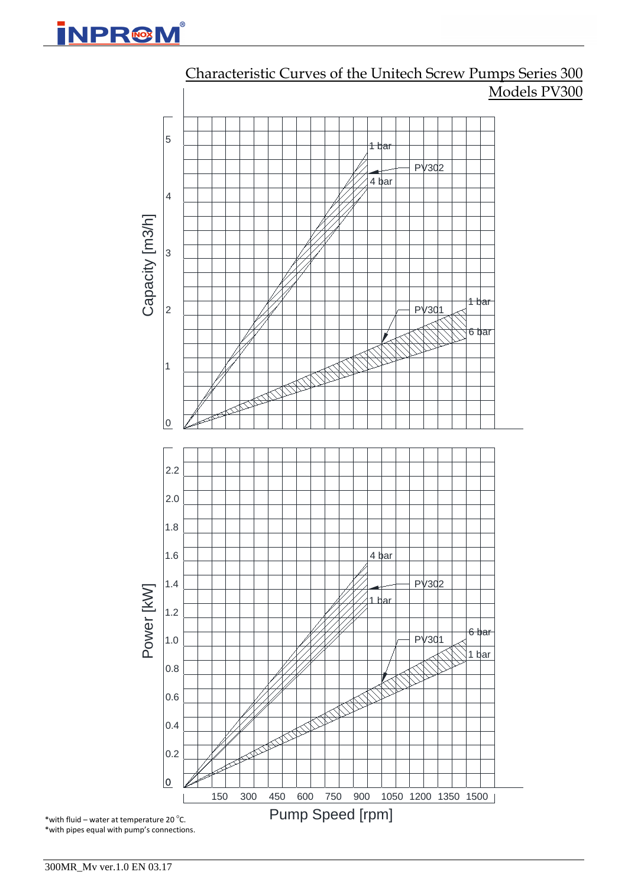



## Characteristic Curves of the Unitech Screw Pumps Series 300 Models PV300

300MR\_Mv ver.1.0 EN 03.17